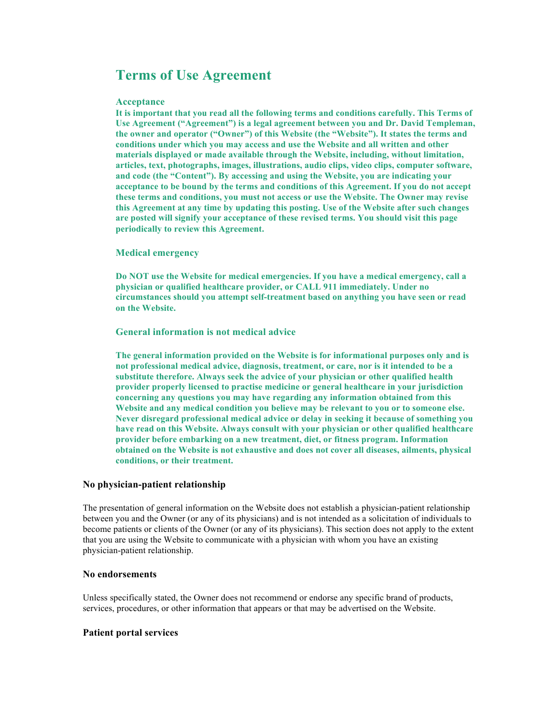# **Terms of Use Agreement**

#### **Acceptance**

**It is important that you read all the following terms and conditions carefully. This Terms of Use Agreement ("Agreement") is a legal agreement between you and Dr. David Templeman, the owner and operator ("Owner") of this Website (the "Website"). It states the terms and conditions under which you may access and use the Website and all written and other materials displayed or made available through the Website, including, without limitation, articles, text, photographs, images, illustrations, audio clips, video clips, computer software, and code (the "Content"). By accessing and using the Website, you are indicating your acceptance to be bound by the terms and conditions of this Agreement. If you do not accept these terms and conditions, you must not access or use the Website. The Owner may revise this Agreement at any time by updating this posting. Use of the Website after such changes are posted will signify your acceptance of these revised terms. You should visit this page periodically to review this Agreement.** 

#### **Medical emergency**

**Do NOT use the Website for medical emergencies. If you have a medical emergency, call a physician or qualified healthcare provider, or CALL 911 immediately. Under no circumstances should you attempt self-treatment based on anything you have seen or read on the Website.** 

**General information is not medical advice** 

**The general information provided on the Website is for informational purposes only and is not professional medical advice, diagnosis, treatment, or care, nor is it intended to be a substitute therefore. Always seek the advice of your physician or other qualified health provider properly licensed to practise medicine or general healthcare in your jurisdiction concerning any questions you may have regarding any information obtained from this Website and any medical condition you believe may be relevant to you or to someone else. Never disregard professional medical advice or delay in seeking it because of something you have read on this Website. Always consult with your physician or other qualified healthcare provider before embarking on a new treatment, diet, or fitness program. Information obtained on the Website is not exhaustive and does not cover all diseases, ailments, physical conditions, or their treatment.** 

#### **No physician-patient relationship**

The presentation of general information on the Website does not establish a physician-patient relationship between you and the Owner (or any of its physicians) and is not intended as a solicitation of individuals to become patients or clients of the Owner (or any of its physicians). This section does not apply to the extent that you are using the Website to communicate with a physician with whom you have an existing physician-patient relationship.

#### **No endorsements**

Unless specifically stated, the Owner does not recommend or endorse any specific brand of products, services, procedures, or other information that appears or that may be advertised on the Website.

#### **Patient portal services**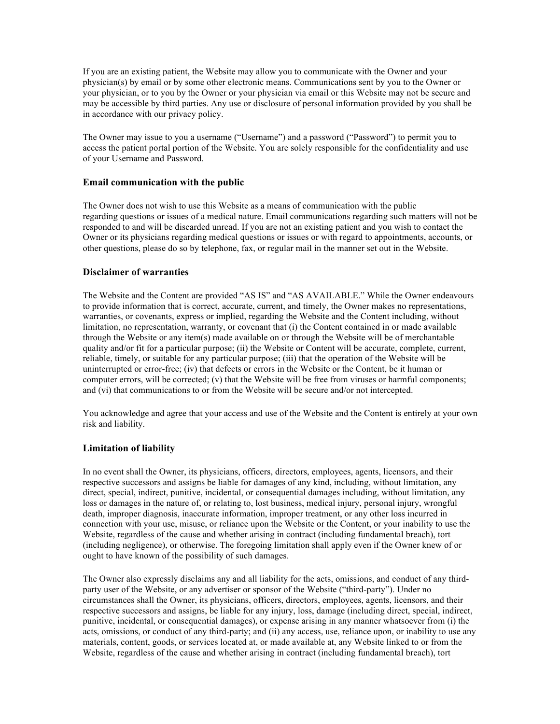If you are an existing patient, the Website may allow you to communicate with the Owner and your physician(s) by email or by some other electronic means. Communications sent by you to the Owner or your physician, or to you by the Owner or your physician via email or this Website may not be secure and may be accessible by third parties. Any use or disclosure of personal information provided by you shall be in accordance with our privacy policy.

The Owner may issue to you a username ("Username") and a password ("Password") to permit you to access the patient portal portion of the Website. You are solely responsible for the confidentiality and use of your Username and Password.

## **Email communication with the public**

The Owner does not wish to use this Website as a means of communication with the public regarding questions or issues of a medical nature. Email communications regarding such matters will not be responded to and will be discarded unread. If you are not an existing patient and you wish to contact the Owner or its physicians regarding medical questions or issues or with regard to appointments, accounts, or other questions, please do so by telephone, fax, or regular mail in the manner set out in the Website.

# **Disclaimer of warranties**

The Website and the Content are provided "AS IS" and "AS AVAILABLE." While the Owner endeavours to provide information that is correct, accurate, current, and timely, the Owner makes no representations, warranties, or covenants, express or implied, regarding the Website and the Content including, without limitation, no representation, warranty, or covenant that (i) the Content contained in or made available through the Website or any item(s) made available on or through the Website will be of merchantable quality and/or fit for a particular purpose; (ii) the Website or Content will be accurate, complete, current, reliable, timely, or suitable for any particular purpose; (iii) that the operation of the Website will be uninterrupted or error-free; (iv) that defects or errors in the Website or the Content, be it human or computer errors, will be corrected; (v) that the Website will be free from viruses or harmful components; and (vi) that communications to or from the Website will be secure and/or not intercepted.

You acknowledge and agree that your access and use of the Website and the Content is entirely at your own risk and liability.

## **Limitation of liability**

In no event shall the Owner, its physicians, officers, directors, employees, agents, licensors, and their respective successors and assigns be liable for damages of any kind, including, without limitation, any direct, special, indirect, punitive, incidental, or consequential damages including, without limitation, any loss or damages in the nature of, or relating to, lost business, medical injury, personal injury, wrongful death, improper diagnosis, inaccurate information, improper treatment, or any other loss incurred in connection with your use, misuse, or reliance upon the Website or the Content, or your inability to use the Website, regardless of the cause and whether arising in contract (including fundamental breach), tort (including negligence), or otherwise. The foregoing limitation shall apply even if the Owner knew of or ought to have known of the possibility of such damages.

The Owner also expressly disclaims any and all liability for the acts, omissions, and conduct of any thirdparty user of the Website, or any advertiser or sponsor of the Website ("third-party"). Under no circumstances shall the Owner, its physicians, officers, directors, employees, agents, licensors, and their respective successors and assigns, be liable for any injury, loss, damage (including direct, special, indirect, punitive, incidental, or consequential damages), or expense arising in any manner whatsoever from (i) the acts, omissions, or conduct of any third-party; and (ii) any access, use, reliance upon, or inability to use any materials, content, goods, or services located at, or made available at, any Website linked to or from the Website, regardless of the cause and whether arising in contract (including fundamental breach), tort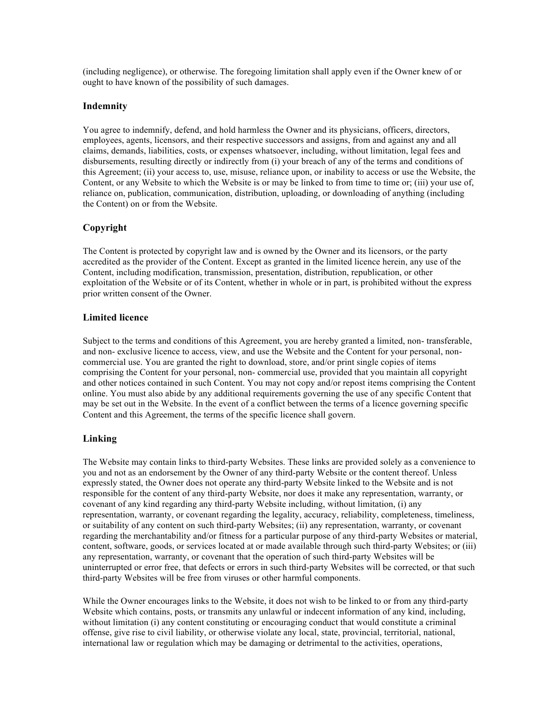(including negligence), or otherwise. The foregoing limitation shall apply even if the Owner knew of or ought to have known of the possibility of such damages.

### **Indemnity**

You agree to indemnify, defend, and hold harmless the Owner and its physicians, officers, directors, employees, agents, licensors, and their respective successors and assigns, from and against any and all claims, demands, liabilities, costs, or expenses whatsoever, including, without limitation, legal fees and disbursements, resulting directly or indirectly from (i) your breach of any of the terms and conditions of this Agreement; (ii) your access to, use, misuse, reliance upon, or inability to access or use the Website, the Content, or any Website to which the Website is or may be linked to from time to time or; (iii) your use of, reliance on, publication, communication, distribution, uploading, or downloading of anything (including the Content) on or from the Website.

#### **Copyright**

The Content is protected by copyright law and is owned by the Owner and its licensors, or the party accredited as the provider of the Content. Except as granted in the limited licence herein, any use of the Content, including modification, transmission, presentation, distribution, republication, or other exploitation of the Website or of its Content, whether in whole or in part, is prohibited without the express prior written consent of the Owner.

#### **Limited licence**

Subject to the terms and conditions of this Agreement, you are hereby granted a limited, non- transferable, and non- exclusive licence to access, view, and use the Website and the Content for your personal, noncommercial use. You are granted the right to download, store, and/or print single copies of items comprising the Content for your personal, non- commercial use, provided that you maintain all copyright and other notices contained in such Content. You may not copy and/or repost items comprising the Content online. You must also abide by any additional requirements governing the use of any specific Content that may be set out in the Website. In the event of a conflict between the terms of a licence governing specific Content and this Agreement, the terms of the specific licence shall govern.

#### **Linking**

The Website may contain links to third-party Websites. These links are provided solely as a convenience to you and not as an endorsement by the Owner of any third-party Website or the content thereof. Unless expressly stated, the Owner does not operate any third-party Website linked to the Website and is not responsible for the content of any third-party Website, nor does it make any representation, warranty, or covenant of any kind regarding any third-party Website including, without limitation, (i) any representation, warranty, or covenant regarding the legality, accuracy, reliability, completeness, timeliness, or suitability of any content on such third-party Websites; (ii) any representation, warranty, or covenant regarding the merchantability and/or fitness for a particular purpose of any third-party Websites or material, content, software, goods, or services located at or made available through such third-party Websites; or (iii) any representation, warranty, or covenant that the operation of such third-party Websites will be uninterrupted or error free, that defects or errors in such third-party Websites will be corrected, or that such third-party Websites will be free from viruses or other harmful components.

While the Owner encourages links to the Website, it does not wish to be linked to or from any third-party Website which contains, posts, or transmits any unlawful or indecent information of any kind, including, without limitation (i) any content constituting or encouraging conduct that would constitute a criminal offense, give rise to civil liability, or otherwise violate any local, state, provincial, territorial, national, international law or regulation which may be damaging or detrimental to the activities, operations,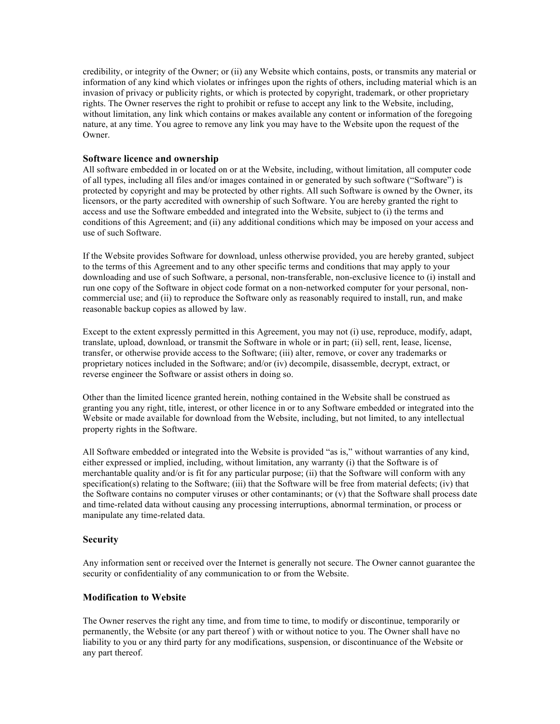credibility, or integrity of the Owner; or (ii) any Website which contains, posts, or transmits any material or information of any kind which violates or infringes upon the rights of others, including material which is an invasion of privacy or publicity rights, or which is protected by copyright, trademark, or other proprietary rights. The Owner reserves the right to prohibit or refuse to accept any link to the Website, including, without limitation, any link which contains or makes available any content or information of the foregoing nature, at any time. You agree to remove any link you may have to the Website upon the request of the Owner.

#### **Software licence and ownership**

All software embedded in or located on or at the Website, including, without limitation, all computer code of all types, including all files and/or images contained in or generated by such software ("Software") is protected by copyright and may be protected by other rights. All such Software is owned by the Owner, its licensors, or the party accredited with ownership of such Software. You are hereby granted the right to access and use the Software embedded and integrated into the Website, subject to (i) the terms and conditions of this Agreement; and (ii) any additional conditions which may be imposed on your access and use of such Software.

If the Website provides Software for download, unless otherwise provided, you are hereby granted, subject to the terms of this Agreement and to any other specific terms and conditions that may apply to your downloading and use of such Software, a personal, non-transferable, non-exclusive licence to (i) install and run one copy of the Software in object code format on a non-networked computer for your personal, noncommercial use; and (ii) to reproduce the Software only as reasonably required to install, run, and make reasonable backup copies as allowed by law.

Except to the extent expressly permitted in this Agreement, you may not (i) use, reproduce, modify, adapt, translate, upload, download, or transmit the Software in whole or in part; (ii) sell, rent, lease, license, transfer, or otherwise provide access to the Software; (iii) alter, remove, or cover any trademarks or proprietary notices included in the Software; and/or (iv) decompile, disassemble, decrypt, extract, or reverse engineer the Software or assist others in doing so.

Other than the limited licence granted herein, nothing contained in the Website shall be construed as granting you any right, title, interest, or other licence in or to any Software embedded or integrated into the Website or made available for download from the Website, including, but not limited, to any intellectual property rights in the Software.

All Software embedded or integrated into the Website is provided "as is," without warranties of any kind, either expressed or implied, including, without limitation, any warranty (i) that the Software is of merchantable quality and/or is fit for any particular purpose; (ii) that the Software will conform with any specification(s) relating to the Software; (iii) that the Software will be free from material defects; (iv) that the Software contains no computer viruses or other contaminants; or (v) that the Software shall process date and time-related data without causing any processing interruptions, abnormal termination, or process or manipulate any time-related data.

#### **Security**

Any information sent or received over the Internet is generally not secure. The Owner cannot guarantee the security or confidentiality of any communication to or from the Website.

#### **Modification to Website**

The Owner reserves the right any time, and from time to time, to modify or discontinue, temporarily or permanently, the Website (or any part thereof ) with or without notice to you. The Owner shall have no liability to you or any third party for any modifications, suspension, or discontinuance of the Website or any part thereof.